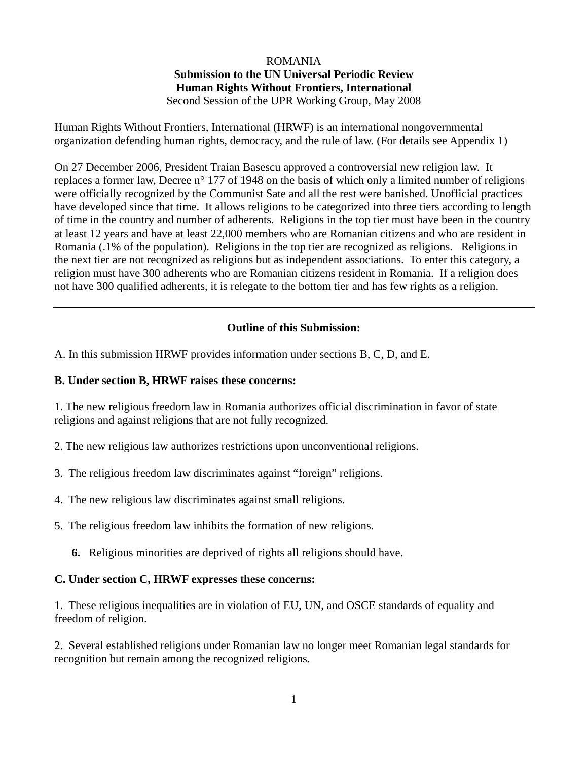### ROMANIA

## **Submission to the UN Universal Periodic Review Human Rights Without Frontiers, International**

Second Session of the UPR Working Group, May 2008

Human Rights Without Frontiers, International (HRWF) is an international nongovernmental organization defending human rights, democracy, and the rule of law. (For details see Appendix 1)

On 27 December 2006, President Traian Basescu approved a controversial new religion law. It replaces a former law, Decree n° 177 of 1948 on the basis of which only a limited number of religions were officially recognized by the Communist Sate and all the rest were banished. Unofficial practices have developed since that time. It allows religions to be categorized into three tiers according to length of time in the country and number of adherents. Religions in the top tier must have been in the country at least 12 years and have at least 22,000 members who are Romanian citizens and who are resident in Romania (.1% of the population). Religions in the top tier are recognized as religions. Religions in the next tier are not recognized as religions but as independent associations. To enter this category, a religion must have 300 adherents who are Romanian citizens resident in Romania. If a religion does not have 300 qualified adherents, it is relegate to the bottom tier and has few rights as a religion.

### **Outline of this Submission:**

A. In this submission HRWF provides information under sections B, C, D, and E.

### **B. Under section B, HRWF raises these concerns:**

1. The new religious freedom law in Romania authorizes official discrimination in favor of state religions and against religions that are not fully recognized.

- 2. The new religious law authorizes restrictions upon unconventional religions.
- 3. The religious freedom law discriminates against "foreign" religions.
- 4. The new religious law discriminates against small religions.
- 5. The religious freedom law inhibits the formation of new religions.
	- **6.** Religious minorities are deprived of rights all religions should have.

#### **C. Under section C, HRWF expresses these concerns:**

1. These religious inequalities are in violation of EU, UN, and OSCE standards of equality and freedom of religion.

2. Several established religions under Romanian law no longer meet Romanian legal standards for recognition but remain among the recognized religions.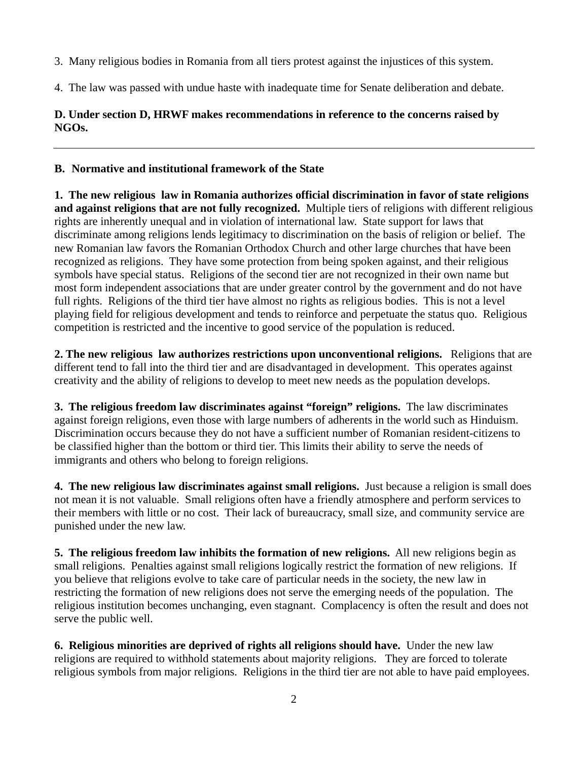- 3. Many religious bodies in Romania from all tiers protest against the injustices of this system.
- 4. The law was passed with undue haste with inadequate time for Senate deliberation and debate.

### **D. Under section D, HRWF makes recommendations in reference to the concerns raised by NGOs.**

## **B. Normative and institutional framework of the State**

**1. The new religious law in Romania authorizes official discrimination in favor of state religions and against religions that are not fully recognized.** Multiple tiers of religions with different religious rights are inherently unequal and in violation of international law. State support for laws that discriminate among religions lends legitimacy to discrimination on the basis of religion or belief. The new Romanian law favors the Romanian Orthodox Church and other large churches that have been recognized as religions. They have some protection from being spoken against, and their religious symbols have special status. Religions of the second tier are not recognized in their own name but most form independent associations that are under greater control by the government and do not have full rights. Religions of the third tier have almost no rights as religious bodies. This is not a level playing field for religious development and tends to reinforce and perpetuate the status quo. Religious competition is restricted and the incentive to good service of the population is reduced.

**2. The new religious law authorizes restrictions upon unconventional religions.** Religions that are different tend to fall into the third tier and are disadvantaged in development. This operates against creativity and the ability of religions to develop to meet new needs as the population develops.

**3. The religious freedom law discriminates against "foreign" religions.** The law discriminates against foreign religions, even those with large numbers of adherents in the world such as Hinduism. Discrimination occurs because they do not have a sufficient number of Romanian resident-citizens to be classified higher than the bottom or third tier. This limits their ability to serve the needs of immigrants and others who belong to foreign religions.

**4. The new religious law discriminates against small religions.** Just because a religion is small does not mean it is not valuable. Small religions often have a friendly atmosphere and perform services to their members with little or no cost. Their lack of bureaucracy, small size, and community service are punished under the new law.

**5. The religious freedom law inhibits the formation of new religions.** All new religions begin as small religions. Penalties against small religions logically restrict the formation of new religions. If you believe that religions evolve to take care of particular needs in the society, the new law in restricting the formation of new religions does not serve the emerging needs of the population. The religious institution becomes unchanging, even stagnant. Complacency is often the result and does not serve the public well.

**6. Religious minorities are deprived of rights all religions should have.** Under the new law religions are required to withhold statements about majority religions. They are forced to tolerate religious symbols from major religions. Religions in the third tier are not able to have paid employees.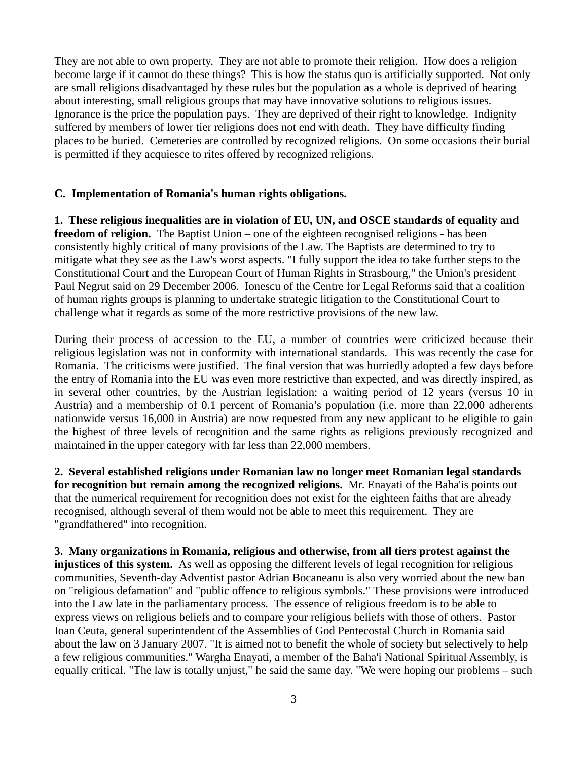They are not able to own property. They are not able to promote their religion. How does a religion become large if it cannot do these things? This is how the status quo is artificially supported. Not only are small religions disadvantaged by these rules but the population as a whole is deprived of hearing about interesting, small religious groups that may have innovative solutions to religious issues. Ignorance is the price the population pays. They are deprived of their right to knowledge. Indignity suffered by members of lower tier religions does not end with death. They have difficulty finding places to be buried. Cemeteries are controlled by recognized religions. On some occasions their burial is permitted if they acquiesce to rites offered by recognized religions.

#### **C. Implementation of Romania's human rights obligations.**

**1. These religious inequalities are in violation of EU, UN, and OSCE standards of equality and freedom of religion.** The Baptist Union – one of the eighteen recognised religions - has been consistently highly critical of many provisions of the Law. The Baptists are determined to try to mitigate what they see as the Law's worst aspects. "I fully support the idea to take further steps to the Constitutional Court and the European Court of Human Rights in Strasbourg," the Union's president Paul Negrut said on 29 December 2006. Ionescu of the Centre for Legal Reforms said that a coalition of human rights groups is planning to undertake strategic litigation to the Constitutional Court to challenge what it regards as some of the more restrictive provisions of the new law.

During their process of accession to the EU, a number of countries were criticized because their religious legislation was not in conformity with international standards. This was recently the case for Romania. The criticisms were justified. The final version that was hurriedly adopted a few days before the entry of Romania into the EU was even more restrictive than expected, and was directly inspired, as in several other countries, by the Austrian legislation: a waiting period of 12 years (versus 10 in Austria) and a membership of 0.1 percent of Romania's population (i.e. more than 22,000 adherents nationwide versus 16,000 in Austria) are now requested from any new applicant to be eligible to gain the highest of three levels of recognition and the same rights as religions previously recognized and maintained in the upper category with far less than 22,000 members.

**2. Several established religions under Romanian law no longer meet Romanian legal standards for recognition but remain among the recognized religions.** Mr. Enayati of the Baha'is points out that the numerical requirement for recognition does not exist for the eighteen faiths that are already recognised, although several of them would not be able to meet this requirement. They are "grandfathered" into recognition.

**3. Many organizations in Romania, religious and otherwise, from all tiers protest against the injustices of this system.** As well as opposing the different levels of legal recognition for religious communities, Seventh-day Adventist pastor Adrian Bocaneanu is also very worried about the new ban on "religious defamation" and "public offence to religious symbols." These provisions were introduced into the Law late in the parliamentary process. The essence of religious freedom is to be able to express views on religious beliefs and to compare your religious beliefs with those of others. Pastor Ioan Ceuta, general superintendent of the Assemblies of God Pentecostal Church in Romania said about the law on 3 January 2007. "It is aimed not to benefit the whole of society but selectively to help a few religious communities." Wargha Enayati, a member of the Baha'i National Spiritual Assembly, is equally critical. "The law is totally unjust," he said the same day. "We were hoping our problems – such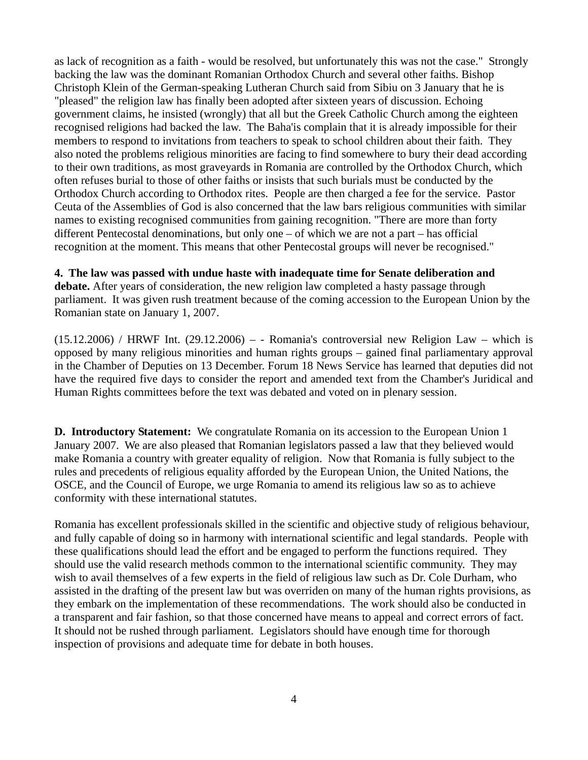as lack of recognition as a faith - would be resolved, but unfortunately this was not the case." Strongly backing the law was the dominant Romanian Orthodox Church and several other faiths. Bishop Christoph Klein of the German-speaking Lutheran Church said from Sibiu on 3 January that he is "pleased" the religion law has finally been adopted after sixteen years of discussion. Echoing government claims, he insisted (wrongly) that all but the Greek Catholic Church among the eighteen recognised religions had backed the law. The Baha'is complain that it is already impossible for their members to respond to invitations from teachers to speak to school children about their faith. They also noted the problems religious minorities are facing to find somewhere to bury their dead according to their own traditions, as most graveyards in Romania are controlled by the Orthodox Church, which often refuses burial to those of other faiths or insists that such burials must be conducted by the Orthodox Church according to Orthodox rites. People are then charged a fee for the service. Pastor Ceuta of the Assemblies of God is also concerned that the law bars religious communities with similar names to existing recognised communities from gaining recognition. "There are more than forty different Pentecostal denominations, but only one – of which we are not a part – has official recognition at the moment. This means that other Pentecostal groups will never be recognised."

#### **4. The law was passed with undue haste with inadequate time for Senate deliberation and**

**debate.** After years of consideration, the new religion law completed a hasty passage through parliament. It was given rush treatment because of the coming accession to the European Union by the Romanian state on January 1, 2007.

 $(15.12.2006)$  / HRWF Int.  $(29.12.2006) -$  - Romania's controversial new Religion Law – which is opposed by many religious minorities and human rights groups – gained final parliamentary approval in the Chamber of Deputies on 13 December. Forum 18 News Service has learned that deputies did not have the required five days to consider the report and amended text from the Chamber's Juridical and Human Rights committees before the text was debated and voted on in plenary session.

**D. Introductory Statement:** We congratulate Romania on its accession to the European Union 1 January 2007. We are also pleased that Romanian legislators passed a law that they believed would make Romania a country with greater equality of religion. Now that Romania is fully subject to the rules and precedents of religious equality afforded by the European Union, the United Nations, the OSCE, and the Council of Europe, we urge Romania to amend its religious law so as to achieve conformity with these international statutes.

Romania has excellent professionals skilled in the scientific and objective study of religious behaviour, and fully capable of doing so in harmony with international scientific and legal standards. People with these qualifications should lead the effort and be engaged to perform the functions required. They should use the valid research methods common to the international scientific community. They may wish to avail themselves of a few experts in the field of religious law such as Dr. Cole Durham, who assisted in the drafting of the present law but was overriden on many of the human rights provisions, as they embark on the implementation of these recommendations. The work should also be conducted in a transparent and fair fashion, so that those concerned have means to appeal and correct errors of fact. It should not be rushed through parliament. Legislators should have enough time for thorough inspection of provisions and adequate time for debate in both houses.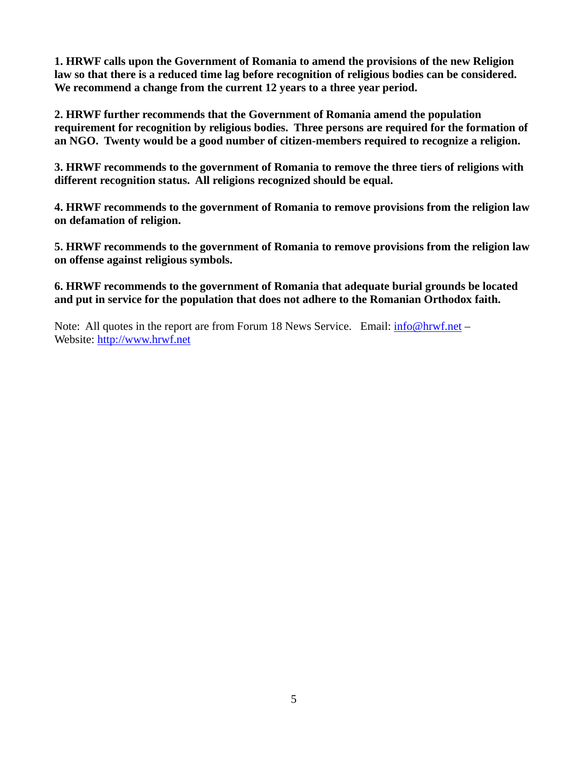**1. HRWF calls upon the Government of Romania to amend the provisions of the new Religion law so that there is a reduced time lag before recognition of religious bodies can be considered. We recommend a change from the current 12 years to a three year period.** 

**2. HRWF further recommends that the Government of Romania amend the population requirement for recognition by religious bodies. Three persons are required for the formation of an NGO. Twenty would be a good number of citizen-members required to recognize a religion.** 

**3. HRWF recommends to the government of Romania to remove the three tiers of religions with different recognition status. All religions recognized should be equal.** 

**4. HRWF recommends to the government of Romania to remove provisions from the religion law on defamation of religion.** 

**5. HRWF recommends to the government of Romania to remove provisions from the religion law on offense against religious symbols.** 

**6. HRWF recommends to the government of Romania that adequate burial grounds be located and put in service for the population that does not adhere to the Romanian Orthodox faith.** 

Note: All quotes in the report are from Forum 18 News Service. Email:  $info@hrwf.net -$ Website: http://www.hrwf.net